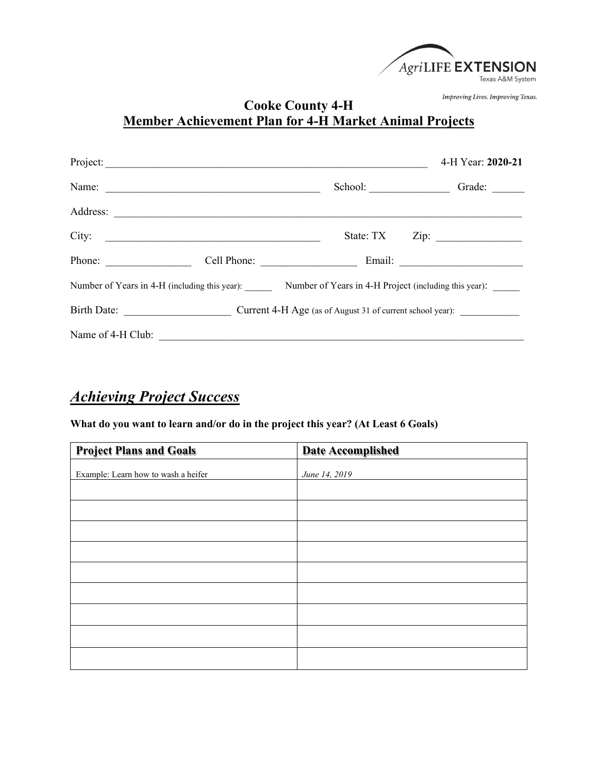

Improving Lives. Improving Texas.

## **Cooke County 4-H Member Achievement Plan for 4-H Market Animal Projects**

|                                                                                                     | Project:                                                                                                              |           | 4-H Year: 2020-21     |
|-----------------------------------------------------------------------------------------------------|-----------------------------------------------------------------------------------------------------------------------|-----------|-----------------------|
|                                                                                                     | Name:                                                                                                                 |           | School: Crade: Crade: |
|                                                                                                     |                                                                                                                       |           |                       |
| City:                                                                                               | <u> 1980 - Jan Barbarat, margaret eta idazleari zuen zituen zituen zituen zituen zituen zituen zituen zituen zitu</u> | State: TX | $\mathsf{Zip:}$       |
| Phone: $\qquad \qquad$                                                                              |                                                                                                                       |           |                       |
| Number of Years in 4-H (including this year): Number of Years in 4-H Project (including this year): |                                                                                                                       |           |                       |
|                                                                                                     |                                                                                                                       |           |                       |
|                                                                                                     |                                                                                                                       |           |                       |

## *Achieving Project Success*

**What do you want to learn and/or do in the project this year? (At Least 6 Goals)**

| <b>Project Plans and Goals</b>      | <b>Date Accomplished</b> |
|-------------------------------------|--------------------------|
| Example: Learn how to wash a heifer | June 14, 2019            |
|                                     |                          |
|                                     |                          |
|                                     |                          |
|                                     |                          |
|                                     |                          |
|                                     |                          |
|                                     |                          |
|                                     |                          |
|                                     |                          |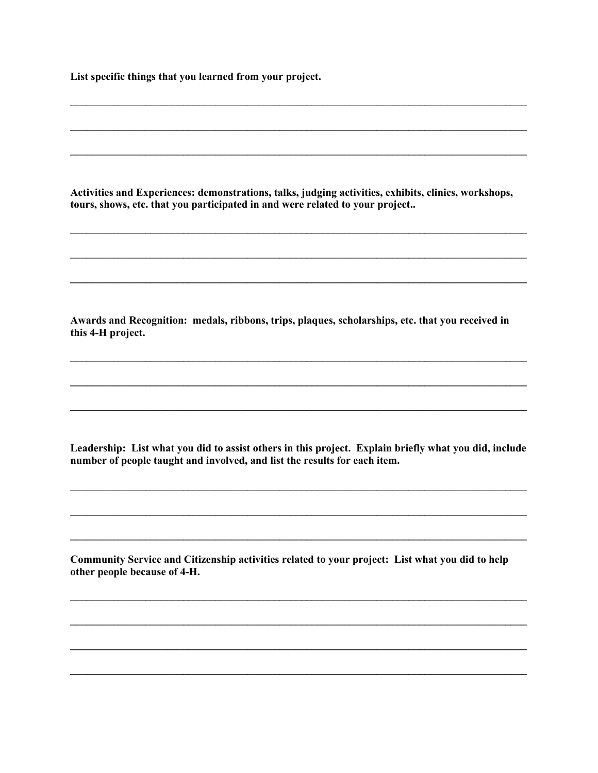List specific things that you learned from your project.

Activities and Experiences: demonstrations, talks, judging activities, exhibits, clinics, workshops, tours, shows, etc. that you participated in and were related to your project..

Awards and Recognition: medals, ribbons, trips, plaques, scholarships, etc. that you received in this 4-H project.

Leadership: List what you did to assist others in this project. Explain briefly what you did, include number of people taught and involved, and list the results for each item.

Community Service and Citizenship activities related to your project: List what you did to help other people because of 4-H.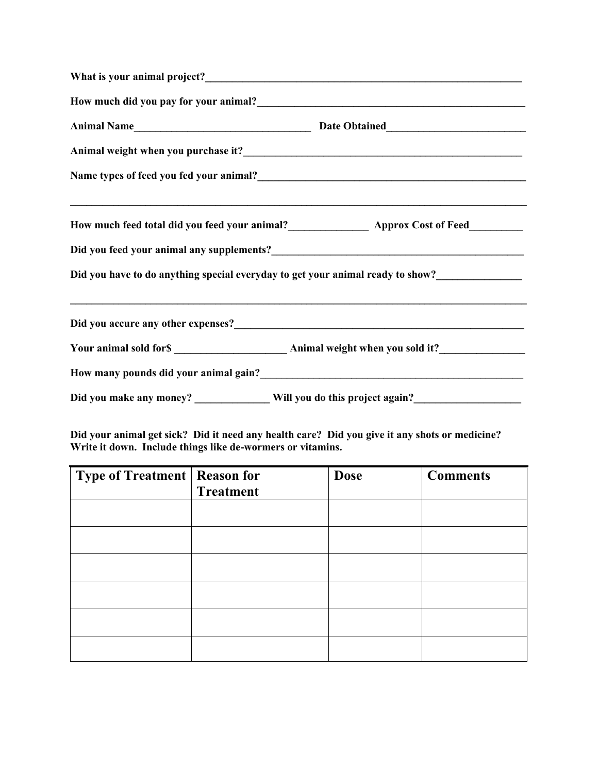| How much did you pay for your animal?<br><u> </u>                                                   |
|-----------------------------------------------------------------------------------------------------|
|                                                                                                     |
|                                                                                                     |
|                                                                                                     |
|                                                                                                     |
| Did you feed your animal any supplements?<br><u> and you feed your animal any supplements?</u>      |
| Did you have to do anything special everyday to get your animal ready to show?_____________________ |
|                                                                                                     |
|                                                                                                     |
|                                                                                                     |
|                                                                                                     |

**Did your animal get sick? Did it need any health care? Did you give it any shots or medicine? Write it down. Include things like de-wormers or vitamins.** 

| <b>Type of Treatment   Reason for</b> |                  | <b>Dose</b> | <b>Comments</b> |
|---------------------------------------|------------------|-------------|-----------------|
|                                       | <b>Treatment</b> |             |                 |
|                                       |                  |             |                 |
|                                       |                  |             |                 |
|                                       |                  |             |                 |
|                                       |                  |             |                 |
|                                       |                  |             |                 |
|                                       |                  |             |                 |
|                                       |                  |             |                 |
|                                       |                  |             |                 |
|                                       |                  |             |                 |
|                                       |                  |             |                 |
|                                       |                  |             |                 |
|                                       |                  |             |                 |